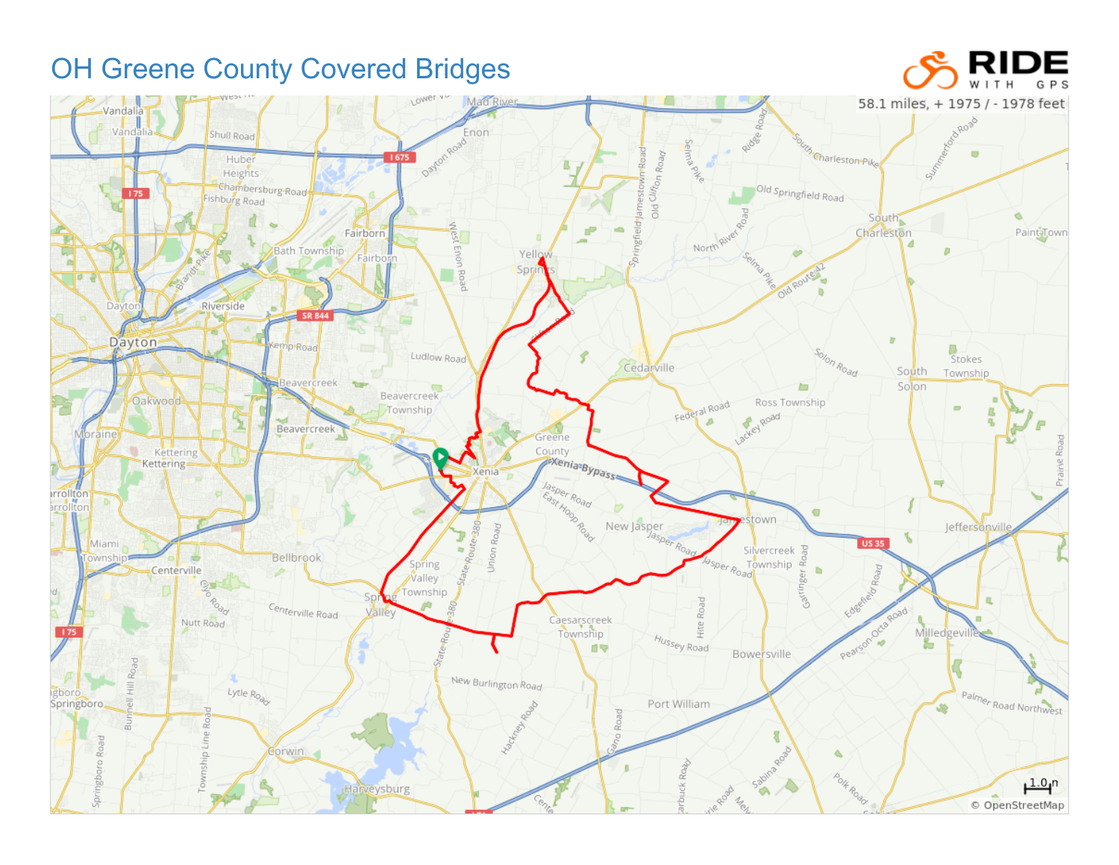## OH Greene County Covered Bridges



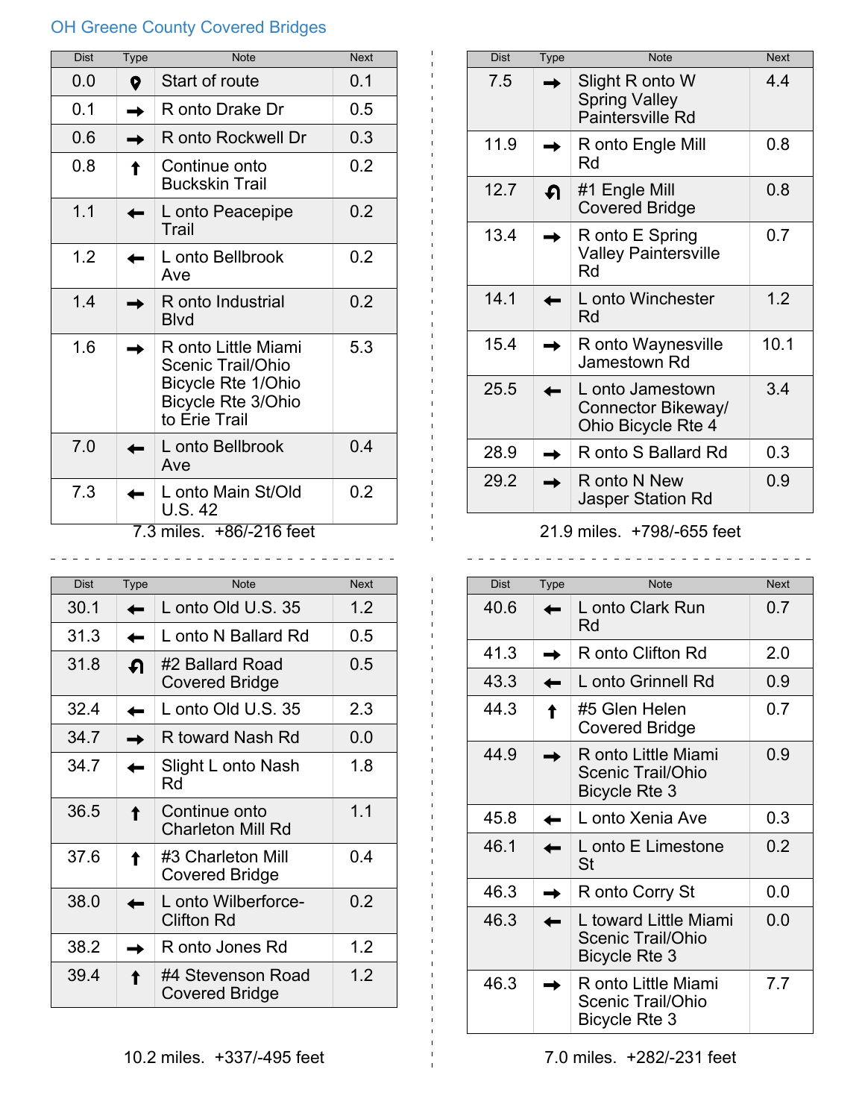## OH Greene County Covered Bridges

| <b>Dist</b> | <b>Type</b> | <b>Note</b>                                                                                                  | <b>Next</b> |
|-------------|-------------|--------------------------------------------------------------------------------------------------------------|-------------|
| 0.0         | 0           | Start of route                                                                                               | 0.1         |
| 0.1         |             | R onto Drake Dr                                                                                              | 0.5         |
| 0.6         |             | R onto Rockwell Dr                                                                                           | 0.3         |
| 0.8         |             | Continue onto<br><b>Buckskin Trail</b>                                                                       | 0.2         |
| 1.1         |             | L onto Peacepipe<br>Trail                                                                                    | 0.2         |
| 1.2         |             | L onto Bellbrook<br>Ave                                                                                      | 0.2         |
| 1.4         |             | R onto Industrial<br><b>Blvd</b>                                                                             | 0.2         |
| 1.6         |             | R onto Little Miami<br>Scenic Trail/Ohio<br>Bicycle Rte 1/Ohio<br><b>Bicycle Rte 3/Ohio</b><br>to Erie Trail | 5.3         |
| 7.0         |             | L onto Bellbrook<br>Ave                                                                                      | 0.4         |
| 7.3         |             | L onto Main St/Old<br>U.S. 42<br>$2$ milor $\pm$ 96/216 foot                                                 | 0.2         |

7.3 miles. +86/-216 feet

| <b>Dist</b> | <b>Type</b> | <b>Note</b>                              | <b>Next</b> |
|-------------|-------------|------------------------------------------|-------------|
| 30.1        |             | L onto Old U.S. 35                       | 1.2         |
| 31.3        |             | L onto N Ballard Rd                      | 0.5         |
| 31.8        | ብ           | #2 Ballard Road<br><b>Covered Bridge</b> | 0.5         |
| 32.4        |             | L onto Old U.S. 35                       | 2.3         |
| 34.7        |             | R toward Nash Rd                         | 0.0         |
| 34.7        |             | Slight L onto Nash<br>Rd                 | 1.8         |
| 36.5        |             | Continue onto<br>Charleton Mill Rd       | 1.1         |
| 37.6        |             | #3 Charleton Mill<br>Covered Bridge      | 0.4         |
| 38.0        |             | L onto Wilberforce-<br><b>Clifton Rd</b> | 0.2         |
| 38.2        |             | R onto Jones Rd                          | 1.2         |
| 39.4        |             | #4 Stevenson Road<br>Covered Bridge      | 1.2         |

| Dist | Type | <b>Note</b>                                                  | <b>Next</b> |
|------|------|--------------------------------------------------------------|-------------|
| 7.5  |      | Slight R onto W<br><b>Spring Valley</b><br>Paintersville Rd  | 4.4         |
| 11.9 |      | R onto Engle Mill<br>Rd                                      | 0.8         |
| 12.7 | ብ    | #1 Engle Mill<br><b>Covered Bridge</b>                       | 0.8         |
| 13.4 |      | R onto E Spring<br><b>Valley Paintersville</b><br>Rd         | 0.7         |
| 14.1 |      | L onto Winchester<br>Rd                                      | 1.2         |
| 15.4 |      | R onto Waynesville<br>Jamestown Rd                           | 10.1        |
| 25.5 |      | L onto Jamestown<br>Connector Bikeway/<br>Ohio Bicycle Rte 4 | 3.4         |
| 28.9 |      | R onto S Ballard Rd                                          | 0.3         |
| 29.2 |      | R onto N New<br><b>Jasper Station Rd</b>                     | 0.9         |

## 21.9 miles. +798/-655 feet \_\_\_\_\_\_\_\_\_\_\_\_\_\_\_\_\_\_\_\_\_\_\_\_\_\_\_\_\_\_\_\_\_\_\_\_

| <b>Dist</b> | <b>Type</b> | <b>Note</b>                                                 | <b>Next</b> |
|-------------|-------------|-------------------------------------------------------------|-------------|
| 40.6        |             | L onto Clark Run<br>Rd                                      | 0.7         |
| 41.3        |             | R onto Clifton Rd                                           | 2.0         |
| 43.3        |             | L onto Grinnell Rd                                          | 0.9         |
| 44.3        |             | #5 Glen Helen<br>Covered Bridge                             | 0.7         |
| 44.9        |             | R onto Little Miami<br>Scenic Trail/Ohio<br>Bicycle Rte 3   | 0.9         |
| 45.8        |             | L onto Xenia Ave                                            | 0.3         |
| 46.1        |             | L onto E Limestone<br>St                                    | 0.2         |
| 46.3        |             | R onto Corry St                                             | 0.0         |
| 46.3        |             | L toward Little Miami<br>Scenic Trail/Ohio<br>Bicycle Rte 3 | 0.0         |
| 46.3        |             | R onto Little Miami<br>Scenic Trail/Ohio<br>Bicycle Rte 3   | 7.7         |